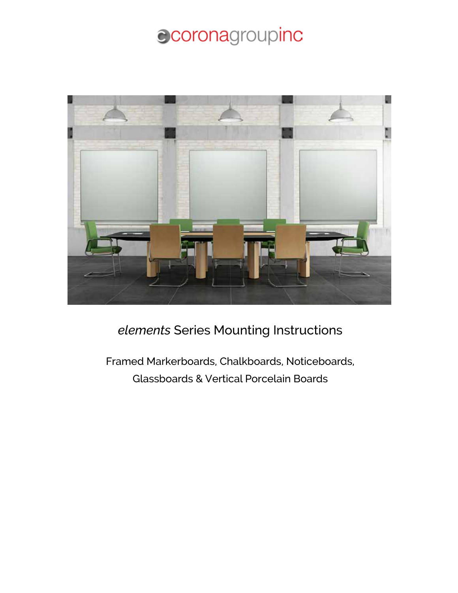# ccoronagroupinc



*elements* Series Mounting Instructions

Framed Markerboards, Chalkboards, Noticeboards, Glassboards & Vertical Porcelain Boards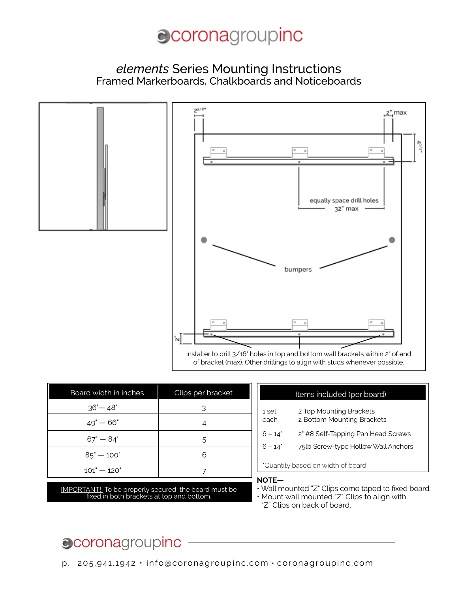#### *elements* Series Mounting Instructions Framed Markerboards, Chalkboards and Noticeboards



| Board width in inches | Clips per bracket |
|-----------------------|-------------------|
| $36 - 48$ "           | 3                 |
| $49" - 66"$           |                   |
| $67" - 84"$           | 5                 |
| $85" - 100"$          | 6                 |
| $101" - 120"$         |                   |

IMPORTANT! To be properly secured, the board must be fixed in both brackets at top and bottom.

#### Items included (per board) 1 set 2 Top Mounting Brackets

| *Quantity based on width of board |                                                       |  |
|-----------------------------------|-------------------------------------------------------|--|
| 6 – 14*                           | 75lb Screw-type Hollow Wall Anchors                   |  |
| 6 – 14*                           | 2" #8 Self-Tapping Pan Head Screws                    |  |
| 1 SEL<br>each                     | 2 TOD MOUTHING BIRCKELS<br>2 Bottom Mounting Brackets |  |

#### **NOTE—**

- Wall mounted "Z" Clips come taped to fixed board.
- Mount wall mounted "Z" Clips to align with "Z" Clips on back of board.

### ccoronagroupinc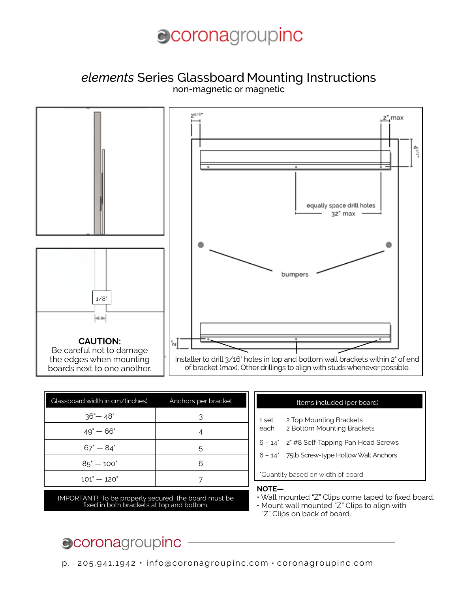#### *elements* Series Glassboard Mounting Instructions non-magnetic or magnetic



| Glassboard width in cm/(inches) | Anchors per bracket |
|---------------------------------|---------------------|
| $36 - 48$                       |                     |
| $49 - 66$ "                     |                     |
| $67" - 84"$                     | 5                   |
| $85" - 100"$                    |                     |
| $101" - 120"$                   |                     |

IMPORTANT! To be properly secured, the board must be fixed in both brackets at top and bottom.

|                                   | Items included (per board)                            |  |
|-----------------------------------|-------------------------------------------------------|--|
| 1 set<br>each                     | 2 Top Mounting Brackets<br>2 Bottom Mounting Brackets |  |
|                                   | 6 - 14* 2" #8 Self-Tapping Pan Head Screws            |  |
|                                   | $6 - 14^{\circ}$ 75lb Screw-type Hollow Wall Anchors  |  |
| *Quantity based on width of board |                                                       |  |
| NOTE                              |                                                       |  |

- Wall mounted "Z" Clips come taped to fixed board. • Mount wall mounted "Z" Clips to align with
	- "Z" Clips on back of board.

### ccoronagroupinc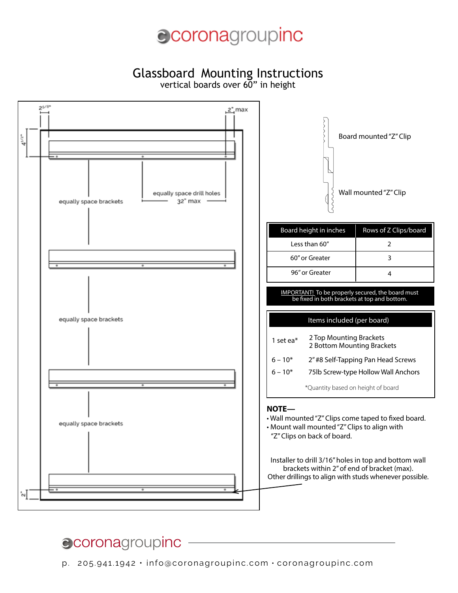### Glassboard Mounting Instructions

vertical boards over 60" in height



#### ecoronagroupinc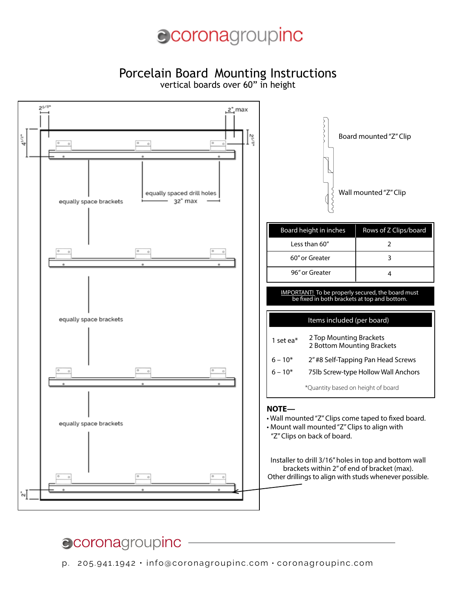#### Porcelain Board Mounting Instructions

vertical boards over 60" in height



#### ecoronagroupinc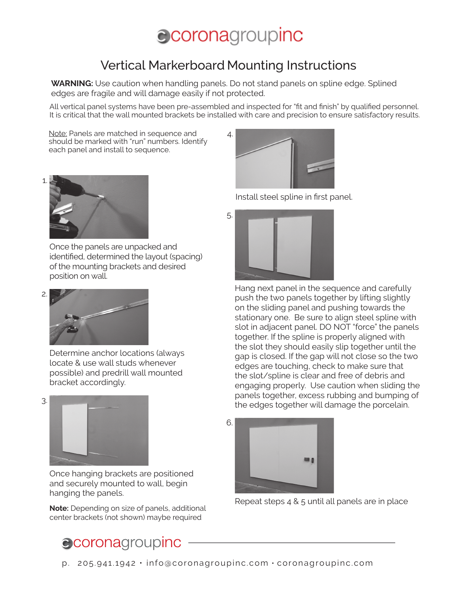### Vertical Markerboard Mounting Instructions

**WARNING:** Use caution when handling panels. Do not stand panels on spline edge. Splined edges are fragile and will damage easily if not protected.

All vertical panel systems have been pre-assembled and inspected for "fit and finish" by qualified personnel. It is critical that the wall mounted brackets be installed with care and precision to ensure satisfactory results.

Note: Panels are matched in sequence and should be marked with "run" numbers. Identify each panel and install to sequence.



Once the panels are unpacked and identified, determined the layout (spacing) of the mounting brackets and desired position on wall.



Determine anchor locations (always locate & use wall studs whenever possible) and predrill wall mounted bracket accordingly.



Once hanging brackets are positioned and securely mounted to wall, begin hanging the panels.

**Note:** Depending on size of panels, additional center brackets (not shown) maybe required

#### **Coronagroupinc**



Install steel spline in first panel.



Hang next panel in the sequence and carefully push the two panels together by lifting slightly on the sliding panel and pushing towards the stationary one. Be sure to align steel spline with slot in adjacent panel. DO NOT "force" the panels together. If the spline is properly aligned with the slot they should easily slip together until the gap is closed. If the gap will not close so the two edges are touching, check to make sure that the slot/spline is clear and free of debris and engaging properly. Use caution when sliding the panels together, excess rubbing and bumping of the edges together will damage the porcelain.



Repeat steps 4 & 5 until all panels are in place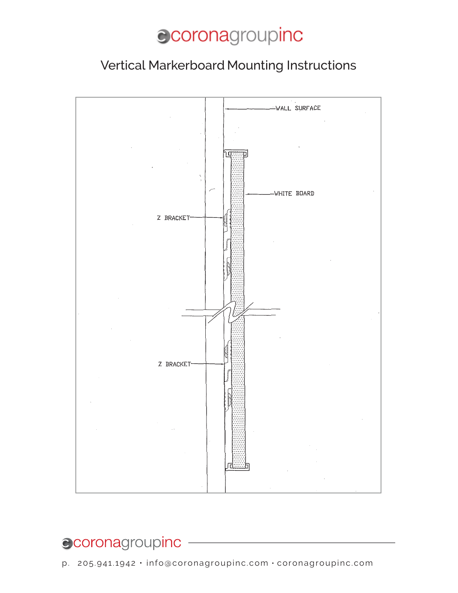## ecoronagroupinc

### Vertical Markerboard Mounting Instructions



### ecoronagroupinc